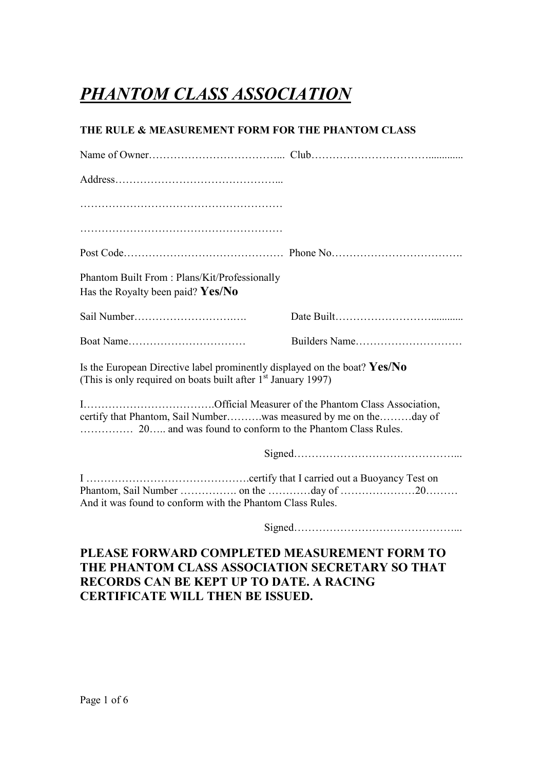# *PHANTOM CLASS ASSOCIATION*

### **THE RULE & MEASUREMENT FORM FOR THE PHANTOM CLASS**

| Phantom Built From: Plans/Kit/Professionally<br>Has the Royalty been paid? Yes/No                                                              |  |
|------------------------------------------------------------------------------------------------------------------------------------------------|--|
|                                                                                                                                                |  |
| Boat Name                                                                                                                                      |  |
| Is the European Directive label prominently displayed on the boat? $Yes/No$<br>(This is only required on boats built after $1st$ January 1997) |  |
| certify that Phantom, Sail Numberwas measured by me on theday of                                                                               |  |
|                                                                                                                                                |  |
| And it was found to conform with the Phantom Class Rules.                                                                                      |  |
|                                                                                                                                                |  |
| PLEASE FORWARD COMPLETED MEASUREMENT FORM TO<br>IE DILAMEOM OL LOC LOCO OL TION CEODET LDV CO TILLT                                            |  |

### **THE PHANTOM CLASS ASSOCIATION SECRETARY SO THAT RECORDS CAN BE KEPT UP TO DATE. A RACING CERTIFICATE WILL THEN BE ISSUED.**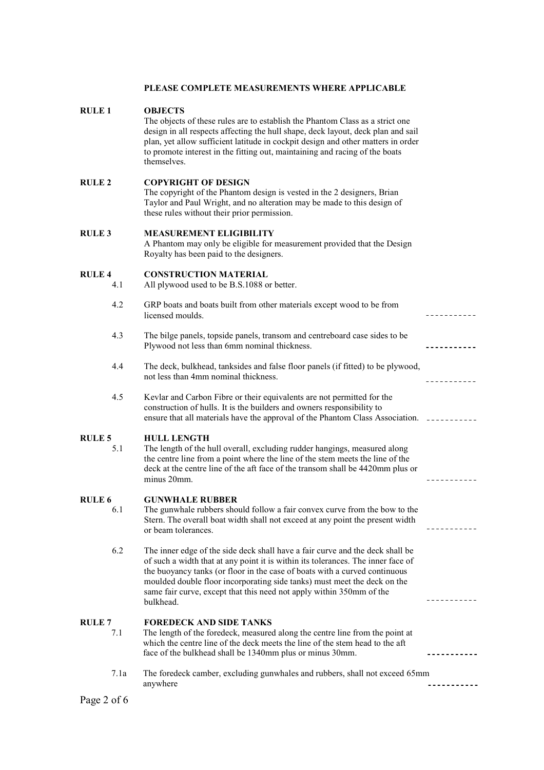#### **PLEASE COMPLETE MEASUREMENTS WHERE APPLICABLE**

#### **RULE 1 OBJECTS**

The objects of these rules are to establish the Phantom Class as a strict one design in all respects affecting the hull shape, deck layout, deck plan and sail plan, yet allow sufficient latitude in cockpit design and other matters in order to promote interest in the fitting out, maintaining and racing of the boats themselves.

#### **RULE 2 COPYRIGHT OF DESIGN**

The copyright of the Phantom design is vested in the 2 designers, Brian Taylor and Paul Wright, and no alteration may be made to this design of these rules without their prior permission.

#### **RULE 3 MEASUREMENT ELIGIBILITY**

A Phantom may only be eligible for measurement provided that the Design Royalty has been paid to the designers.

<u>----------</u>

. . . . . . . . . . .

----------

<u>. . . . . . . . . . .</u>

#### **RULE 4 CONSTRUCTION MATERIAL**

4.1 All plywood used to be B.S.1088 or better.

- 4.2 GRP boats and boats built from other materials except wood to be from licensed moulds.
- 4.3 The bilge panels, topside panels, transom and centreboard case sides to be Plywood not less than 6mm nominal thickness.
- 4.4 The deck, bulkhead, tanksides and false floor panels (if fitted) to be plywood, not less than 4mm nominal thickness.
- 4.5 Kevlar and Carbon Fibre or their equivalents are not permitted for the construction of hulls. It is the builders and owners responsibility to ensure that all materials have the approval of the Phantom Class Association.  $\Box$

## **RULE 5** HULL LENGTH<br>5.1 The length of the h

The length of the hull overall, excluding rudder hangings, measured along the centre line from a point where the line of the stem meets the line of the deck at the centre line of the aft face of the transom shall be 4420mm plus or minus 20mm.

#### **RULE 6 GUNWHALE RUBBER**

- 6.1 The gunwhale rubbers should follow a fair convex curve from the bow to the Stern. The overall boat width shall not exceed at any point the present width or beam tolerances.
- 6.2 The inner edge of the side deck shall have a fair curve and the deck shall be of such a width that at any point it is within its tolerances. The inner face of the buoyancy tanks (or floor in the case of boats with a curved continuous moulded double floor incorporating side tanks) must meet the deck on the same fair curve, except that this need not apply within 350mm of the bulkhead.

#### **RULE 7 FOREDECK AND SIDE TANKS**

- 7.1 The length of the foredeck, measured along the centre line from the point at which the centre line of the deck meets the line of the stem head to the aft face of the bulkhead shall be 1340mm plus or minus 30mm.
- 7.1a The foredeck camber, excluding gunwhales and rubbers, shall not exceed 65mm anywhere <u>-----------</u>

Page 2 of 6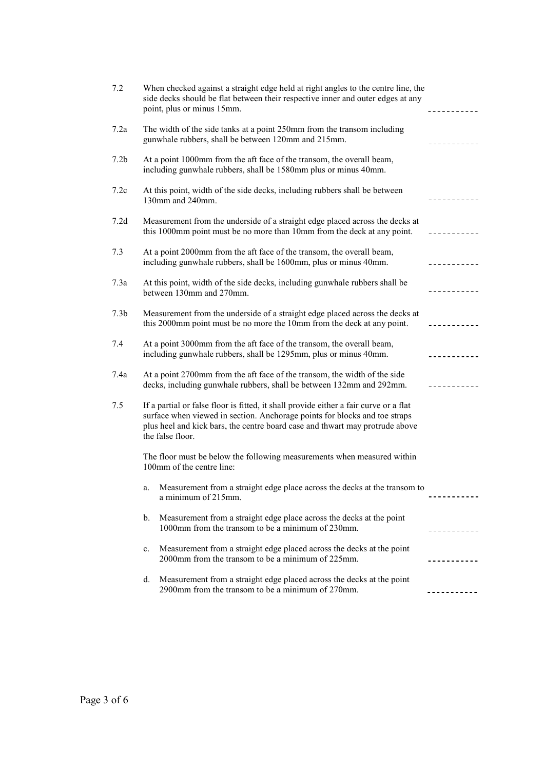| 7.2              |                                                                                                                                                                                                                                                                         | When checked against a straight edge held at right angles to the centre line, the<br>side decks should be flat between their respective inner and outer edges at any<br>point, plus or minus 15mm. |             |  |
|------------------|-------------------------------------------------------------------------------------------------------------------------------------------------------------------------------------------------------------------------------------------------------------------------|----------------------------------------------------------------------------------------------------------------------------------------------------------------------------------------------------|-------------|--|
| 7.2a             | The width of the side tanks at a point 250mm from the transom including<br>gunwhale rubbers, shall be between 120mm and 215mm.                                                                                                                                          |                                                                                                                                                                                                    |             |  |
| 7.2 <sub>b</sub> |                                                                                                                                                                                                                                                                         | At a point 1000mm from the aft face of the transom, the overall beam,<br>including gunwhale rubbers, shall be 1580mm plus or minus 40mm.                                                           |             |  |
| 7.2c             |                                                                                                                                                                                                                                                                         | At this point, width of the side decks, including rubbers shall be between<br>130mm and 240mm.                                                                                                     |             |  |
| 7.2d             |                                                                                                                                                                                                                                                                         | Measurement from the underside of a straight edge placed across the decks at<br>this 1000mm point must be no more than 10mm from the deck at any point.                                            | ----------- |  |
| 7.3              | At a point 2000mm from the aft face of the transom, the overall beam,<br>including gunwhale rubbers, shall be 1600mm, plus or minus 40mm.                                                                                                                               |                                                                                                                                                                                                    | .           |  |
| 7.3a             | At this point, width of the side decks, including gunwhale rubbers shall be<br>between 130mm and 270mm.                                                                                                                                                                 |                                                                                                                                                                                                    |             |  |
| 7.3 <sub>b</sub> | Measurement from the underside of a straight edge placed across the decks at<br>this 2000mm point must be no more the 10mm from the deck at any point.                                                                                                                  |                                                                                                                                                                                                    |             |  |
| 7.4              | At a point 3000mm from the aft face of the transom, the overall beam,<br>including gunwhale rubbers, shall be 1295mm, plus or minus 40mm.                                                                                                                               |                                                                                                                                                                                                    |             |  |
| 7.4a             | At a point 2700mm from the aft face of the transom, the width of the side<br>decks, including gunwhale rubbers, shall be between 132mm and 292mm.                                                                                                                       |                                                                                                                                                                                                    |             |  |
| 7.5              | If a partial or false floor is fitted, it shall provide either a fair curve or a flat<br>surface when viewed in section. Anchorage points for blocks and toe straps<br>plus heel and kick bars, the centre board case and thwart may protrude above<br>the false floor. |                                                                                                                                                                                                    |             |  |
|                  | The floor must be below the following measurements when measured within<br>100mm of the centre line:                                                                                                                                                                    |                                                                                                                                                                                                    |             |  |
|                  | a.                                                                                                                                                                                                                                                                      | Measurement from a straight edge place across the decks at the transom to<br>a minimum of 215mm.                                                                                                   |             |  |
|                  | b.                                                                                                                                                                                                                                                                      | Measurement from a straight edge place across the decks at the point<br>1000mm from the transom to be a minimum of 230mm.                                                                          |             |  |
|                  | $c_{\cdot}$                                                                                                                                                                                                                                                             | Measurement from a straight edge placed across the decks at the point<br>2000mm from the transom to be a minimum of 225mm.                                                                         |             |  |
|                  | d.                                                                                                                                                                                                                                                                      | Measurement from a straight edge placed across the decks at the point<br>2900mm from the transom to be a minimum of 270mm.                                                                         |             |  |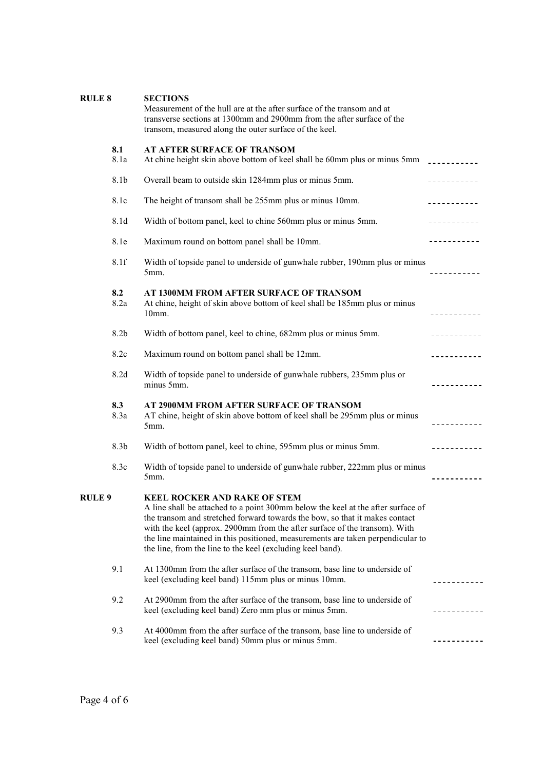| <b>RULE 8</b>                                                                                                                                |                  | <b>SECTIONS</b><br>Measurement of the hull are at the after surface of the transom and at<br>transverse sections at 1300mm and 2900mm from the after surface of the<br>transom, measured along the outer surface of the keel.                                                                                                                                                                                                         |                               |
|----------------------------------------------------------------------------------------------------------------------------------------------|------------------|---------------------------------------------------------------------------------------------------------------------------------------------------------------------------------------------------------------------------------------------------------------------------------------------------------------------------------------------------------------------------------------------------------------------------------------|-------------------------------|
|                                                                                                                                              | 8.1<br>8.1a      | <b>AT AFTER SURFACE OF TRANSOM</b><br>At chine height skin above bottom of keel shall be 60mm plus or minus 5mm ___________                                                                                                                                                                                                                                                                                                           |                               |
|                                                                                                                                              | 8.1b             | Overall beam to outside skin 1284mm plus or minus 5mm.                                                                                                                                                                                                                                                                                                                                                                                | <u>-----------</u>            |
|                                                                                                                                              | 8.1c             | The height of transom shall be 255mm plus or minus 10mm.                                                                                                                                                                                                                                                                                                                                                                              | <u> - - - - - - - - - - -</u> |
|                                                                                                                                              | 8.1d             | Width of bottom panel, keel to chine 560mm plus or minus 5mm.                                                                                                                                                                                                                                                                                                                                                                         |                               |
|                                                                                                                                              | 8.1e             | Maximum round on bottom panel shall be 10mm.                                                                                                                                                                                                                                                                                                                                                                                          | <u>-----------</u>            |
|                                                                                                                                              | 8.1f             | Width of topside panel to underside of gunwhale rubber, 190mm plus or minus<br>5mm.                                                                                                                                                                                                                                                                                                                                                   | -----------                   |
|                                                                                                                                              | 8.2<br>8.2a      | AT 1300MM FROM AFTER SURFACE OF TRANSOM<br>At chine, height of skin above bottom of keel shall be 185mm plus or minus<br>$10mm$ .                                                                                                                                                                                                                                                                                                     | -----------                   |
|                                                                                                                                              | 8.2 <sub>b</sub> | Width of bottom panel, keel to chine, 682mm plus or minus 5mm.                                                                                                                                                                                                                                                                                                                                                                        |                               |
| 8.2c<br>Maximum round on bottom panel shall be 12mm.                                                                                         |                  |                                                                                                                                                                                                                                                                                                                                                                                                                                       |                               |
|                                                                                                                                              | 8.2d             | Width of topside panel to underside of gunwhale rubbers, 235mm plus or<br>minus 5mm.                                                                                                                                                                                                                                                                                                                                                  | - - - - - - - - - - -         |
| 8.3<br>AT 2900MM FROM AFTER SURFACE OF TRANSOM<br>AT chine, height of skin above bottom of keel shall be 295mm plus or minus<br>8.3a<br>5mm. |                  | - - - - - - - - - -                                                                                                                                                                                                                                                                                                                                                                                                                   |                               |
|                                                                                                                                              | 8.3b             | Width of bottom panel, keel to chine, 595mm plus or minus 5mm.                                                                                                                                                                                                                                                                                                                                                                        | <u>-----------</u>            |
|                                                                                                                                              | 8.3c             | Width of topside panel to underside of gunwhale rubber, 222mm plus or minus<br>5mm.                                                                                                                                                                                                                                                                                                                                                   |                               |
| <b>RULE 9</b>                                                                                                                                |                  | <b>KEEL ROCKER AND RAKE OF STEM</b><br>A line shall be attached to a point 300mm below the keel at the after surface of<br>the transom and stretched forward towards the bow, so that it makes contact<br>with the keel (approx. 2900mm from the after surface of the transom). With<br>the line maintained in this positioned, measurements are taken perpendicular to<br>the line, from the line to the keel (excluding keel band). |                               |
|                                                                                                                                              | 9.1              | At 1300mm from the after surface of the transom, base line to underside of<br>keel (excluding keel band) 115mm plus or minus 10mm.                                                                                                                                                                                                                                                                                                    |                               |
|                                                                                                                                              | 9.2              | At 2900mm from the after surface of the transom, base line to underside of<br>keel (excluding keel band) Zero mm plus or minus 5mm.                                                                                                                                                                                                                                                                                                   |                               |
|                                                                                                                                              | 9.3              | At 4000mm from the after surface of the transom, base line to underside of<br>keel (excluding keel band) 50mm plus or minus 5mm.                                                                                                                                                                                                                                                                                                      |                               |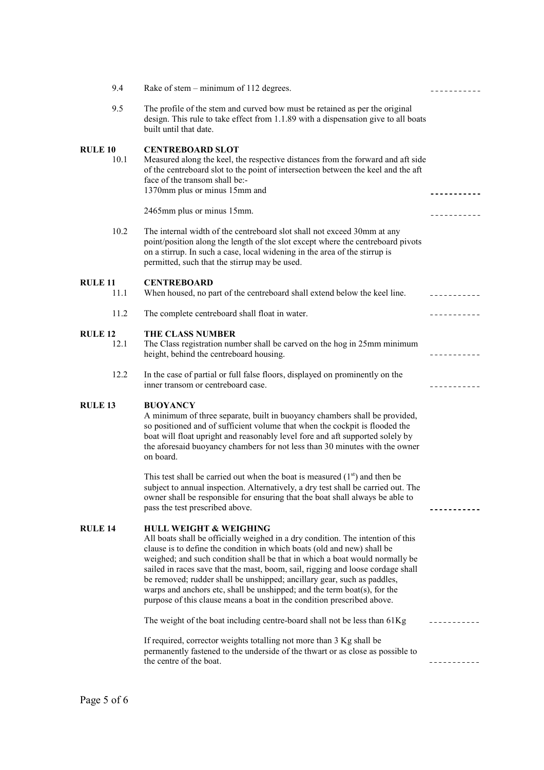| 9.4                    | Rake of stem – minimum of 112 degrees.                                                                                                                                                                                                                                                                                                                                                                                                                                                                                                                                                             | - - - - - - - - -           |
|------------------------|----------------------------------------------------------------------------------------------------------------------------------------------------------------------------------------------------------------------------------------------------------------------------------------------------------------------------------------------------------------------------------------------------------------------------------------------------------------------------------------------------------------------------------------------------------------------------------------------------|-----------------------------|
| 9.5                    | The profile of the stem and curved bow must be retained as per the original<br>design. This rule to take effect from 1.1.89 with a dispensation give to all boats<br>built until that date.                                                                                                                                                                                                                                                                                                                                                                                                        |                             |
| <b>RULE 10</b><br>10.1 | <b>CENTREBOARD SLOT</b><br>Measured along the keel, the respective distances from the forward and aft side<br>of the centreboard slot to the point of intersection between the keel and the aft<br>face of the transom shall be:-<br>1370mm plus or minus 15mm and                                                                                                                                                                                                                                                                                                                                 | ----------                  |
|                        | 2465mm plus or minus 15mm.                                                                                                                                                                                                                                                                                                                                                                                                                                                                                                                                                                         |                             |
| 10.2                   | The internal width of the centreboard slot shall not exceed 30mm at any<br>point/position along the length of the slot except where the centreboard pivots<br>on a stirrup. In such a case, local widening in the area of the stirrup is<br>permitted, such that the stirrup may be used.                                                                                                                                                                                                                                                                                                          |                             |
| <b>RULE 11</b><br>11.1 | <b>CENTREBOARD</b><br>When housed, no part of the centreboard shall extend below the keel line.                                                                                                                                                                                                                                                                                                                                                                                                                                                                                                    | <u> - - - - - - - - - -</u> |
| 11.2                   | The complete centreboard shall float in water.                                                                                                                                                                                                                                                                                                                                                                                                                                                                                                                                                     | -----------                 |
| <b>RULE 12</b><br>12.1 | <b>THE CLASS NUMBER</b><br>The Class registration number shall be carved on the hog in 25mm minimum<br>height, behind the centreboard housing.                                                                                                                                                                                                                                                                                                                                                                                                                                                     |                             |
| 12.2                   | In the case of partial or full false floors, displayed on prominently on the<br>inner transom or centreboard case.                                                                                                                                                                                                                                                                                                                                                                                                                                                                                 |                             |
| <b>RULE 13</b>         | <b>BUOYANCY</b><br>A minimum of three separate, built in buoyancy chambers shall be provided,<br>so positioned and of sufficient volume that when the cockpit is flooded the<br>boat will float upright and reasonably level fore and aft supported solely by<br>the aforesaid buoyancy chambers for not less than 30 minutes with the owner<br>on board.                                                                                                                                                                                                                                          |                             |
|                        | This test shall be carried out when the boat is measured $(1st)$ and then be<br>subject to annual inspection. Alternatively, a dry test shall be carried out. The<br>owner shall be responsible for ensuring that the boat shall always be able to<br>pass the test prescribed above.                                                                                                                                                                                                                                                                                                              | ---------                   |
| <b>RULE 14</b>         | <b>HULL WEIGHT &amp; WEIGHING</b><br>All boats shall be officially weighed in a dry condition. The intention of this<br>clause is to define the condition in which boats (old and new) shall be<br>weighed; and such condition shall be that in which a boat would normally be<br>sailed in races save that the mast, boom, sail, rigging and loose cordage shall<br>be removed; rudder shall be unshipped; ancillary gear, such as paddles,<br>warps and anchors etc, shall be unshipped; and the term boat(s), for the<br>purpose of this clause means a boat in the condition prescribed above. |                             |
|                        | The weight of the boat including centre-board shall not be less than 61Kg                                                                                                                                                                                                                                                                                                                                                                                                                                                                                                                          |                             |
|                        | If required, corrector weights totalling not more than 3 Kg shall be<br>permanently fastened to the underside of the thwart or as close as possible to<br>the centre of the boat.                                                                                                                                                                                                                                                                                                                                                                                                                  |                             |
|                        |                                                                                                                                                                                                                                                                                                                                                                                                                                                                                                                                                                                                    |                             |